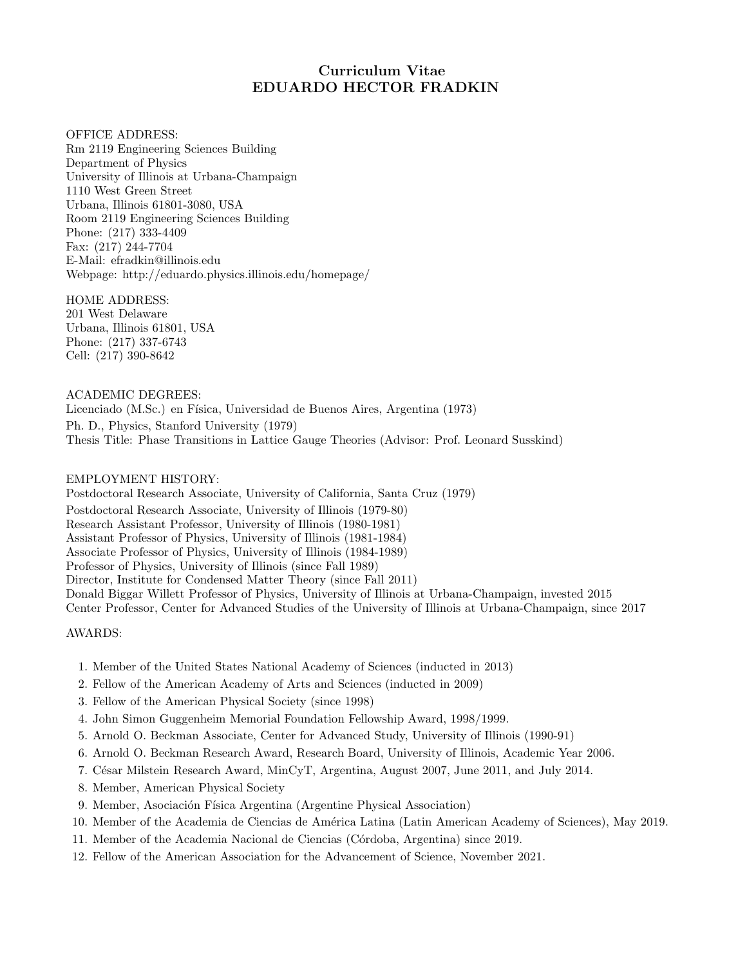# Curriculum Vitae EDUARDO HECTOR FRADKIN

OFFICE ADDRESS: Rm 2119 Engineering Sciences Building Department of Physics University of Illinois at Urbana-Champaign 1110 West Green Street Urbana, Illinois 61801-3080, USA Room 2119 Engineering Sciences Building Phone: (217) 333-4409 Fax: (217) 244-7704 E-Mail: efradkin@illinois.edu Webpage: http://eduardo.physics.illinois.edu/homepage/

### HOME ADDRESS:

201 West Delaware Urbana, Illinois 61801, USA Phone: (217) 337-6743 Cell: (217) 390-8642

ACADEMIC DEGREES: Licenciado (M.Sc.) en Física, Universidad de Buenos Aires, Argentina (1973) Ph. D., Physics, Stanford University (1979) Thesis Title: Phase Transitions in Lattice Gauge Theories (Advisor: Prof. Leonard Susskind)

## EMPLOYMENT HISTORY:

Postdoctoral Research Associate, University of California, Santa Cruz (1979) Postdoctoral Research Associate, University of Illinois (1979-80) Research Assistant Professor, University of Illinois (1980-1981) Assistant Professor of Physics, University of Illinois (1981-1984) Associate Professor of Physics, University of Illinois (1984-1989) Professor of Physics, University of Illinois (since Fall 1989) Director, Institute for Condensed Matter Theory (since Fall 2011) Donald Biggar Willett Professor of Physics, University of Illinois at Urbana-Champaign, invested 2015 Center Professor, Center for Advanced Studies of the University of Illinois at Urbana-Champaign, since 2017

AWARDS:

- 1. Member of the United States National Academy of Sciences (inducted in 2013)
- 2. Fellow of the American Academy of Arts and Sciences (inducted in 2009)
- 3. Fellow of the American Physical Society (since 1998)
- 4. John Simon Guggenheim Memorial Foundation Fellowship Award, 1998/1999.
- 5. Arnold O. Beckman Associate, Center for Advanced Study, University of Illinois (1990-91)
- 6. Arnold O. Beckman Research Award, Research Board, University of Illinois, Academic Year 2006.
- 7. C´esar Milstein Research Award, MinCyT, Argentina, August 2007, June 2011, and July 2014.
- 8. Member, American Physical Society
- 9. Member, Asociación Física Argentina (Argentine Physical Association)
- 10. Member of the Academia de Ciencias de Am´erica Latina (Latin American Academy of Sciences), May 2019.
- 11. Member of the Academia Nacional de Ciencias (C´ordoba, Argentina) since 2019.
- 12. Fellow of the American Association for the Advancement of Science, November 2021.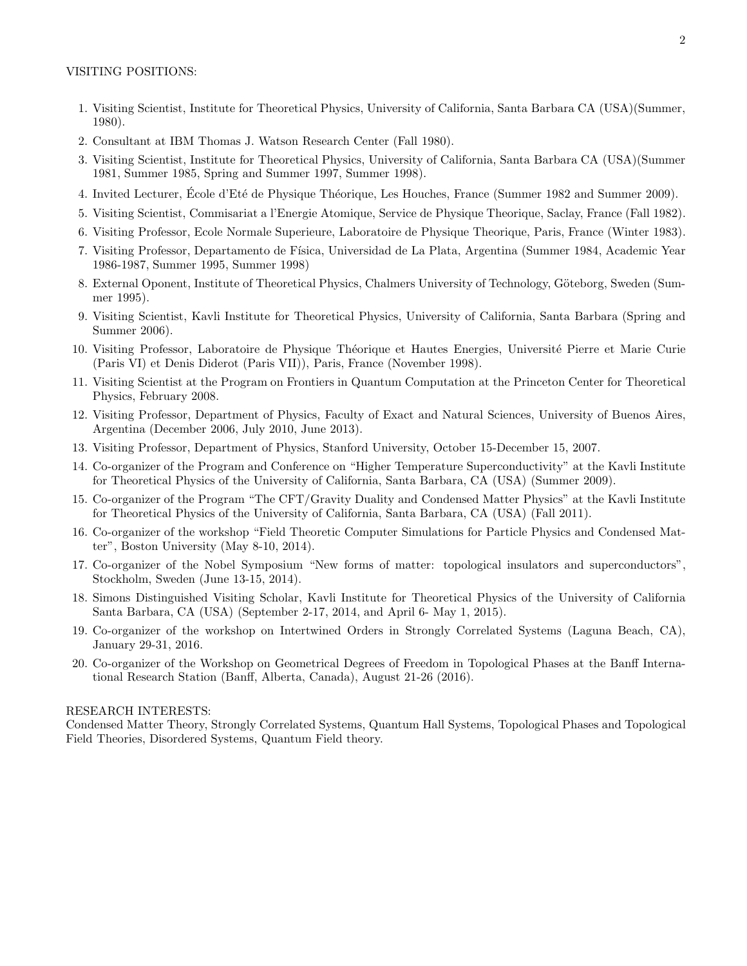- 1. Visiting Scientist, Institute for Theoretical Physics, University of California, Santa Barbara CA (USA)(Summer, 1980).
- 2. Consultant at IBM Thomas J. Watson Research Center (Fall 1980).
- 3. Visiting Scientist, Institute for Theoretical Physics, University of California, Santa Barbara CA (USA)(Summer 1981, Summer 1985, Spring and Summer 1997, Summer 1998).
- 4. Invited Lecturer, École d'Eté de Physique Théorique, Les Houches, France (Summer 1982 and Summer 2009).
- 5. Visiting Scientist, Commisariat a l'Energie Atomique, Service de Physique Theorique, Saclay, France (Fall 1982).
- 6. Visiting Professor, Ecole Normale Superieure, Laboratoire de Physique Theorique, Paris, France (Winter 1983).
- 7. Visiting Professor, Departamento de Física, Universidad de La Plata, Argentina (Summer 1984, Academic Year 1986-1987, Summer 1995, Summer 1998)
- 8. External Oponent, Institute of Theoretical Physics, Chalmers University of Technology, Göteborg, Sweden (Summer 1995).
- 9. Visiting Scientist, Kavli Institute for Theoretical Physics, University of California, Santa Barbara (Spring and Summer 2006).
- 10. Visiting Professor, Laboratoire de Physique Théorique et Hautes Energies, Université Pierre et Marie Curie (Paris VI) et Denis Diderot (Paris VII)), Paris, France (November 1998).
- 11. Visiting Scientist at the Program on Frontiers in Quantum Computation at the Princeton Center for Theoretical Physics, February 2008.
- 12. Visiting Professor, Department of Physics, Faculty of Exact and Natural Sciences, University of Buenos Aires, Argentina (December 2006, July 2010, June 2013).
- 13. Visiting Professor, Department of Physics, Stanford University, October 15-December 15, 2007.
- 14. Co-organizer of the Program and Conference on "Higher Temperature Superconductivity" at the Kavli Institute for Theoretical Physics of the University of California, Santa Barbara, CA (USA) (Summer 2009).
- 15. Co-organizer of the Program "The CFT/Gravity Duality and Condensed Matter Physics" at the Kavli Institute for Theoretical Physics of the University of California, Santa Barbara, CA (USA) (Fall 2011).
- 16. Co-organizer of the workshop "Field Theoretic Computer Simulations for Particle Physics and Condensed Matter", Boston University (May 8-10, 2014).
- 17. Co-organizer of the Nobel Symposium "New forms of matter: topological insulators and superconductors", Stockholm, Sweden (June 13-15, 2014).
- 18. Simons Distinguished Visiting Scholar, Kavli Institute for Theoretical Physics of the University of California Santa Barbara, CA (USA) (September 2-17, 2014, and April 6- May 1, 2015).
- 19. Co-organizer of the workshop on Intertwined Orders in Strongly Correlated Systems (Laguna Beach, CA), January 29-31, 2016.
- 20. Co-organizer of the Workshop on Geometrical Degrees of Freedom in Topological Phases at the Banff International Research Station (Banff, Alberta, Canada), August 21-26 (2016).

#### RESEARCH INTERESTS:

Condensed Matter Theory, Strongly Correlated Systems, Quantum Hall Systems, Topological Phases and Topological Field Theories, Disordered Systems, Quantum Field theory.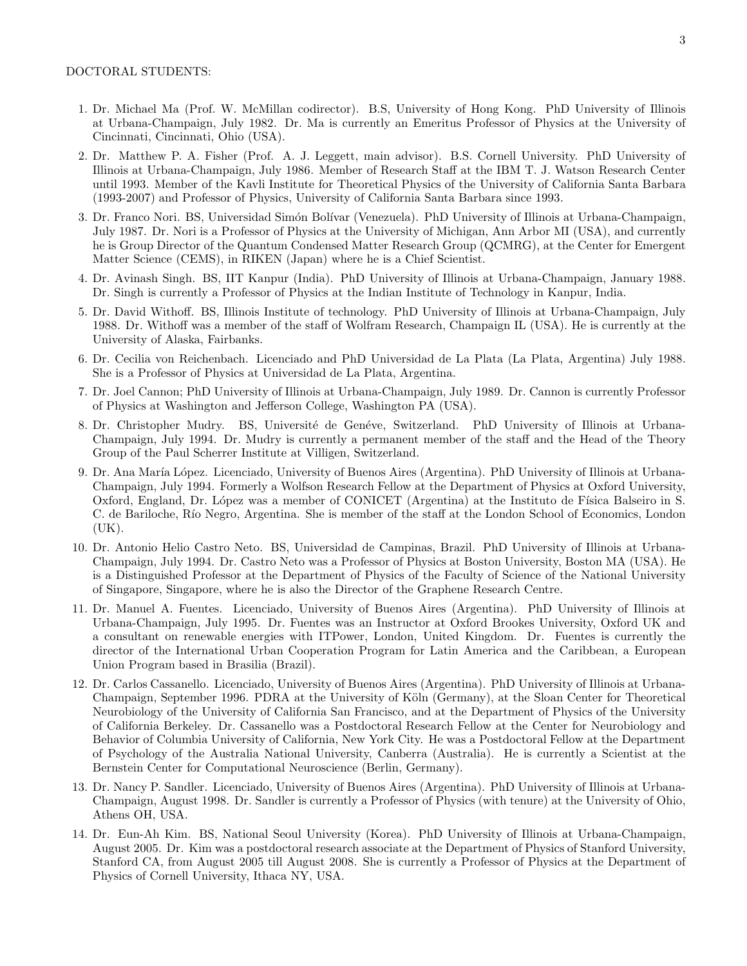- 1. Dr. Michael Ma (Prof. W. McMillan codirector). B.S, University of Hong Kong. PhD University of Illinois at Urbana-Champaign, July 1982. Dr. Ma is currently an Emeritus Professor of Physics at the University of Cincinnati, Cincinnati, Ohio (USA).
- 2. Dr. Matthew P. A. Fisher (Prof. A. J. Leggett, main advisor). B.S. Cornell University. PhD University of Illinois at Urbana-Champaign, July 1986. Member of Research Staff at the IBM T. J. Watson Research Center until 1993. Member of the Kavli Institute for Theoretical Physics of the University of California Santa Barbara (1993-2007) and Professor of Physics, University of California Santa Barbara since 1993.
- 3. Dr. Franco Nori. BS, Universidad Simón Bolívar (Venezuela). PhD University of Illinois at Urbana-Champaign, July 1987. Dr. Nori is a Professor of Physics at the University of Michigan, Ann Arbor MI (USA), and currently he is Group Director of the Quantum Condensed Matter Research Group (QCMRG), at the Center for Emergent Matter Science (CEMS), in RIKEN (Japan) where he is a Chief Scientist.
- 4. Dr. Avinash Singh. BS, IIT Kanpur (India). PhD University of Illinois at Urbana-Champaign, January 1988. Dr. Singh is currently a Professor of Physics at the Indian Institute of Technology in Kanpur, India.
- 5. Dr. David Withoff. BS, Illinois Institute of technology. PhD University of Illinois at Urbana-Champaign, July 1988. Dr. Withoff was a member of the staff of Wolfram Research, Champaign IL (USA). He is currently at the University of Alaska, Fairbanks.
- 6. Dr. Cecilia von Reichenbach. Licenciado and PhD Universidad de La Plata (La Plata, Argentina) July 1988. She is a Professor of Physics at Universidad de La Plata, Argentina.
- 7. Dr. Joel Cannon; PhD University of Illinois at Urbana-Champaign, July 1989. Dr. Cannon is currently Professor of Physics at Washington and Jefferson College, Washington PA (USA).
- 8. Dr. Christopher Mudry. BS, Université de Genéve, Switzerland. PhD University of Illinois at Urbana-Champaign, July 1994. Dr. Mudry is currently a permanent member of the staff and the Head of the Theory Group of the Paul Scherrer Institute at Villigen, Switzerland.
- 9. Dr. Ana Mar´ıa L´opez. Licenciado, University of Buenos Aires (Argentina). PhD University of Illinois at Urbana-Champaign, July 1994. Formerly a Wolfson Research Fellow at the Department of Physics at Oxford University, Oxford, England, Dr. López was a member of CONICET (Argentina) at the Instituto de Física Balseiro in S. C. de Bariloche, Río Negro, Argentina. She is member of the staff at the London School of Economics, London  $(UK).$
- 10. Dr. Antonio Helio Castro Neto. BS, Universidad de Campinas, Brazil. PhD University of Illinois at Urbana-Champaign, July 1994. Dr. Castro Neto was a Professor of Physics at Boston University, Boston MA (USA). He is a Distinguished Professor at the Department of Physics of the Faculty of Science of the National University of Singapore, Singapore, where he is also the Director of the Graphene Research Centre.
- 11. Dr. Manuel A. Fuentes. Licenciado, University of Buenos Aires (Argentina). PhD University of Illinois at Urbana-Champaign, July 1995. Dr. Fuentes was an Instructor at Oxford Brookes University, Oxford UK and a consultant on renewable energies with ITPower, London, United Kingdom. Dr. Fuentes is currently the director of the International Urban Cooperation Program for Latin America and the Caribbean, a European Union Program based in Brasilia (Brazil).
- 12. Dr. Carlos Cassanello. Licenciado, University of Buenos Aires (Argentina). PhD University of Illinois at Urbana-Champaign, September 1996. PDRA at the University of Köln (Germany), at the Sloan Center for Theoretical Neurobiology of the University of California San Francisco, and at the Department of Physics of the University of California Berkeley. Dr. Cassanello was a Postdoctoral Research Fellow at the Center for Neurobiology and Behavior of Columbia University of California, New York City. He was a Postdoctoral Fellow at the Department of Psychology of the Australia National University, Canberra (Australia). He is currently a Scientist at the Bernstein Center for Computational Neuroscience (Berlin, Germany).
- 13. Dr. Nancy P. Sandler. Licenciado, University of Buenos Aires (Argentina). PhD University of Illinois at Urbana-Champaign, August 1998. Dr. Sandler is currently a Professor of Physics (with tenure) at the University of Ohio, Athens OH, USA.
- 14. Dr. Eun-Ah Kim. BS, National Seoul University (Korea). PhD University of Illinois at Urbana-Champaign, August 2005. Dr. Kim was a postdoctoral research associate at the Department of Physics of Stanford University, Stanford CA, from August 2005 till August 2008. She is currently a Professor of Physics at the Department of Physics of Cornell University, Ithaca NY, USA.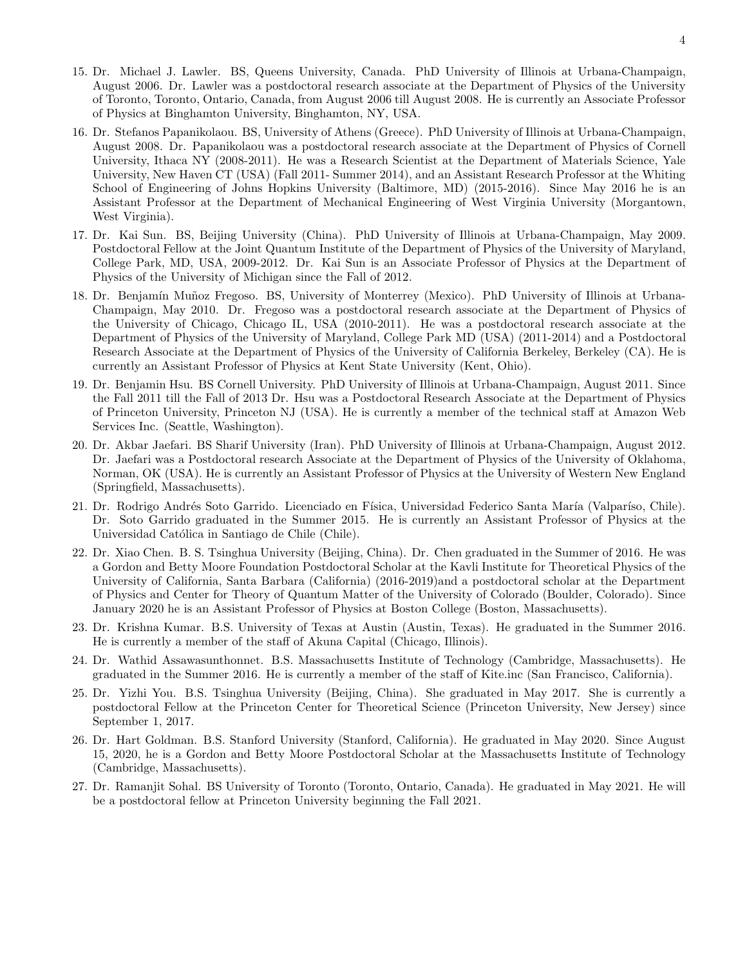- 15. Dr. Michael J. Lawler. BS, Queens University, Canada. PhD University of Illinois at Urbana-Champaign, August 2006. Dr. Lawler was a postdoctoral research associate at the Department of Physics of the University of Toronto, Toronto, Ontario, Canada, from August 2006 till August 2008. He is currently an Associate Professor of Physics at Binghamton University, Binghamton, NY, USA.
- 16. Dr. Stefanos Papanikolaou. BS, University of Athens (Greece). PhD University of Illinois at Urbana-Champaign, August 2008. Dr. Papanikolaou was a postdoctoral research associate at the Department of Physics of Cornell University, Ithaca NY (2008-2011). He was a Research Scientist at the Department of Materials Science, Yale University, New Haven CT (USA) (Fall 2011- Summer 2014), and an Assistant Research Professor at the Whiting School of Engineering of Johns Hopkins University (Baltimore, MD) (2015-2016). Since May 2016 he is an Assistant Professor at the Department of Mechanical Engineering of West Virginia University (Morgantown, West Virginia).
- 17. Dr. Kai Sun. BS, Beijing University (China). PhD University of Illinois at Urbana-Champaign, May 2009. Postdoctoral Fellow at the Joint Quantum Institute of the Department of Physics of the University of Maryland, College Park, MD, USA, 2009-2012. Dr. Kai Sun is an Associate Professor of Physics at the Department of Physics of the University of Michigan since the Fall of 2012.
- 18. Dr. Benjamín Muñoz Fregoso. BS, University of Monterrey (Mexico). PhD University of Illinois at Urbana-Champaign, May 2010. Dr. Fregoso was a postdoctoral research associate at the Department of Physics of the University of Chicago, Chicago IL, USA (2010-2011). He was a postdoctoral research associate at the Department of Physics of the University of Maryland, College Park MD (USA) (2011-2014) and a Postdoctoral Research Associate at the Department of Physics of the University of California Berkeley, Berkeley (CA). He is currently an Assistant Professor of Physics at Kent State University (Kent, Ohio).
- 19. Dr. Benjamin Hsu. BS Cornell University. PhD University of Illinois at Urbana-Champaign, August 2011. Since the Fall 2011 till the Fall of 2013 Dr. Hsu was a Postdoctoral Research Associate at the Department of Physics of Princeton University, Princeton NJ (USA). He is currently a member of the technical staff at Amazon Web Services Inc. (Seattle, Washington).
- 20. Dr. Akbar Jaefari. BS Sharif University (Iran). PhD University of Illinois at Urbana-Champaign, August 2012. Dr. Jaefari was a Postdoctoral research Associate at the Department of Physics of the University of Oklahoma, Norman, OK (USA). He is currently an Assistant Professor of Physics at the University of Western New England (Springfield, Massachusetts).
- 21. Dr. Rodrigo Andrés Soto Garrido. Licenciado en Física, Universidad Federico Santa María (Valparíso, Chile). Dr. Soto Garrido graduated in the Summer 2015. He is currently an Assistant Professor of Physics at the Universidad Católica in Santiago de Chile (Chile).
- 22. Dr. Xiao Chen. B. S. Tsinghua University (Beijing, China). Dr. Chen graduated in the Summer of 2016. He was a Gordon and Betty Moore Foundation Postdoctoral Scholar at the Kavli Institute for Theoretical Physics of the University of California, Santa Barbara (California) (2016-2019)and a postdoctoral scholar at the Department of Physics and Center for Theory of Quantum Matter of the University of Colorado (Boulder, Colorado). Since January 2020 he is an Assistant Professor of Physics at Boston College (Boston, Massachusetts).
- 23. Dr. Krishna Kumar. B.S. University of Texas at Austin (Austin, Texas). He graduated in the Summer 2016. He is currently a member of the staff of Akuna Capital (Chicago, Illinois).
- 24. Dr. Wathid Assawasunthonnet. B.S. Massachusetts Institute of Technology (Cambridge, Massachusetts). He graduated in the Summer 2016. He is currently a member of the staff of Kite.inc (San Francisco, California).
- 25. Dr. Yizhi You. B.S. Tsinghua University (Beijing, China). She graduated in May 2017. She is currently a postdoctoral Fellow at the Princeton Center for Theoretical Science (Princeton University, New Jersey) since September 1, 2017.
- 26. Dr. Hart Goldman. B.S. Stanford University (Stanford, California). He graduated in May 2020. Since August 15, 2020, he is a Gordon and Betty Moore Postdoctoral Scholar at the Massachusetts Institute of Technology (Cambridge, Massachusetts).
- 27. Dr. Ramanjit Sohal. BS University of Toronto (Toronto, Ontario, Canada). He graduated in May 2021. He will be a postdoctoral fellow at Princeton University beginning the Fall 2021.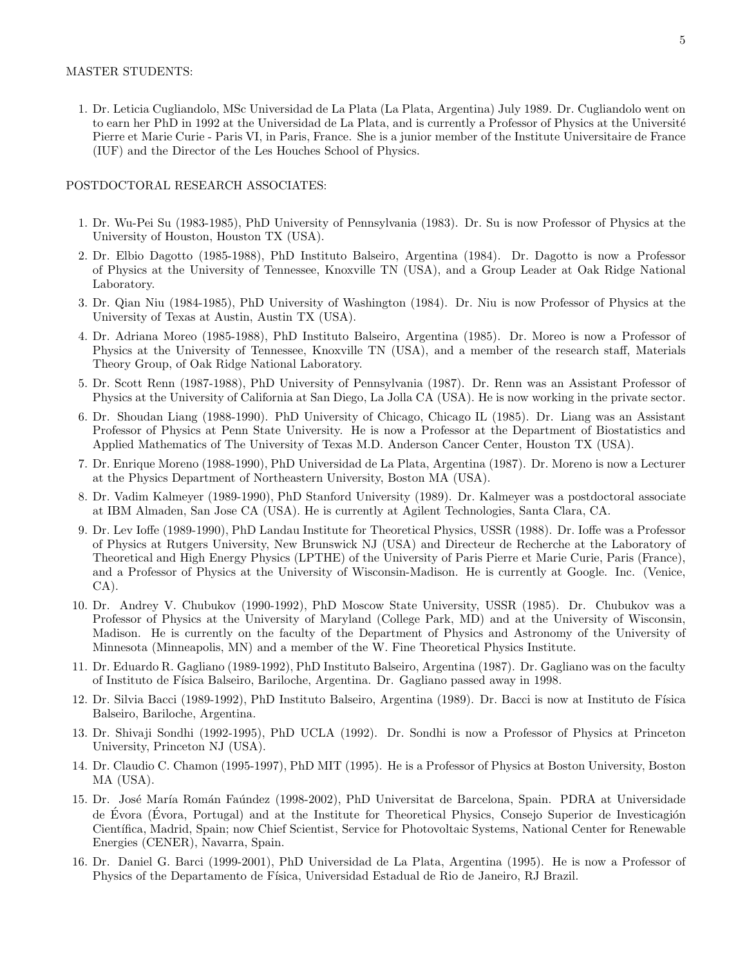#### MASTER STUDENTS:

1. Dr. Leticia Cugliandolo, MSc Universidad de La Plata (La Plata, Argentina) July 1989. Dr. Cugliandolo went on to earn her PhD in 1992 at the Universidad de La Plata, and is currently a Professor of Physics at the Université Pierre et Marie Curie - Paris VI, in Paris, France. She is a junior member of the Institute Universitaire de France (IUF) and the Director of the Les Houches School of Physics.

#### POSTDOCTORAL RESEARCH ASSOCIATES:

- 1. Dr. Wu-Pei Su (1983-1985), PhD University of Pennsylvania (1983). Dr. Su is now Professor of Physics at the University of Houston, Houston TX (USA).
- 2. Dr. Elbio Dagotto (1985-1988), PhD Instituto Balseiro, Argentina (1984). Dr. Dagotto is now a Professor of Physics at the University of Tennessee, Knoxville TN (USA), and a Group Leader at Oak Ridge National Laboratory.
- 3. Dr. Qian Niu (1984-1985), PhD University of Washington (1984). Dr. Niu is now Professor of Physics at the University of Texas at Austin, Austin TX (USA).
- 4. Dr. Adriana Moreo (1985-1988), PhD Instituto Balseiro, Argentina (1985). Dr. Moreo is now a Professor of Physics at the University of Tennessee, Knoxville TN (USA), and a member of the research staff, Materials Theory Group, of Oak Ridge National Laboratory.
- 5. Dr. Scott Renn (1987-1988), PhD University of Pennsylvania (1987). Dr. Renn was an Assistant Professor of Physics at the University of California at San Diego, La Jolla CA (USA). He is now working in the private sector.
- 6. Dr. Shoudan Liang (1988-1990). PhD University of Chicago, Chicago IL (1985). Dr. Liang was an Assistant Professor of Physics at Penn State University. He is now a Professor at the Department of Biostatistics and Applied Mathematics of The University of Texas M.D. Anderson Cancer Center, Houston TX (USA).
- 7. Dr. Enrique Moreno (1988-1990), PhD Universidad de La Plata, Argentina (1987). Dr. Moreno is now a Lecturer at the Physics Department of Northeastern University, Boston MA (USA).
- 8. Dr. Vadim Kalmeyer (1989-1990), PhD Stanford University (1989). Dr. Kalmeyer was a postdoctoral associate at IBM Almaden, San Jose CA (USA). He is currently at Agilent Technologies, Santa Clara, CA.
- 9. Dr. Lev Ioffe (1989-1990), PhD Landau Institute for Theoretical Physics, USSR (1988). Dr. Ioffe was a Professor of Physics at Rutgers University, New Brunswick NJ (USA) and Directeur de Recherche at the Laboratory of Theoretical and High Energy Physics (LPTHE) of the University of Paris Pierre et Marie Curie, Paris (France), and a Professor of Physics at the University of Wisconsin-Madison. He is currently at Google. Inc. (Venice, CA).
- 10. Dr. Andrey V. Chubukov (1990-1992), PhD Moscow State University, USSR (1985). Dr. Chubukov was a Professor of Physics at the University of Maryland (College Park, MD) and at the University of Wisconsin, Madison. He is currently on the faculty of the Department of Physics and Astronomy of the University of Minnesota (Minneapolis, MN) and a member of the W. Fine Theoretical Physics Institute.
- 11. Dr. Eduardo R. Gagliano (1989-1992), PhD Instituto Balseiro, Argentina (1987). Dr. Gagliano was on the faculty of Instituto de F´ısica Balseiro, Bariloche, Argentina. Dr. Gagliano passed away in 1998.
- 12. Dr. Silvia Bacci (1989-1992), PhD Instituto Balseiro, Argentina (1989). Dr. Bacci is now at Instituto de Física Balseiro, Bariloche, Argentina.
- 13. Dr. Shivaji Sondhi (1992-1995), PhD UCLA (1992). Dr. Sondhi is now a Professor of Physics at Princeton University, Princeton NJ (USA).
- 14. Dr. Claudio C. Chamon (1995-1997), PhD MIT (1995). He is a Professor of Physics at Boston University, Boston MA (USA).
- 15. Dr. José María Román Faúndez (1998-2002), PhD Universitat de Barcelona, Spain. PDRA at Universidade de Évora (Évora, Portugal) and at the Institute for Theoretical Physics, Consejo Superior de Investicagión Científica, Madrid, Spain; now Chief Scientist, Service for Photovoltaic Systems, National Center for Renewable Energies (CENER), Navarra, Spain.
- 16. Dr. Daniel G. Barci (1999-2001), PhD Universidad de La Plata, Argentina (1995). He is now a Professor of Physics of the Departamento de Física, Universidad Estadual de Rio de Janeiro, RJ Brazil.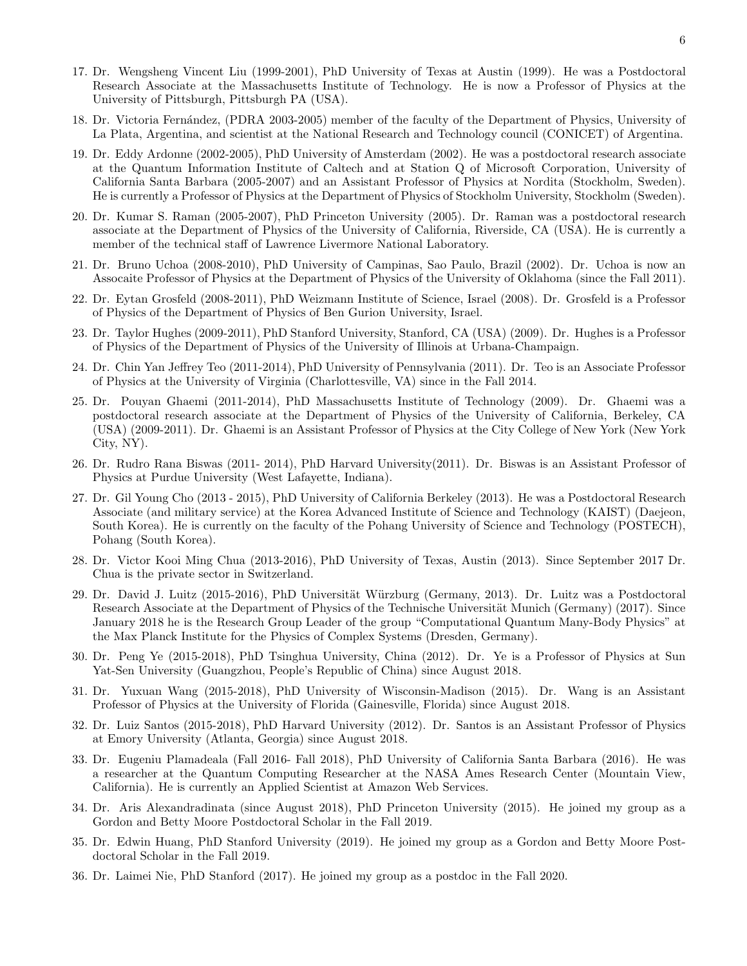- 17. Dr. Wengsheng Vincent Liu (1999-2001), PhD University of Texas at Austin (1999). He was a Postdoctoral Research Associate at the Massachusetts Institute of Technology. He is now a Professor of Physics at the University of Pittsburgh, Pittsburgh PA (USA).
- 18. Dr. Victoria Fern´andez, (PDRA 2003-2005) member of the faculty of the Department of Physics, University of La Plata, Argentina, and scientist at the National Research and Technology council (CONICET) of Argentina.
- 19. Dr. Eddy Ardonne (2002-2005), PhD University of Amsterdam (2002). He was a postdoctoral research associate at the Quantum Information Institute of Caltech and at Station Q of Microsoft Corporation, University of California Santa Barbara (2005-2007) and an Assistant Professor of Physics at Nordita (Stockholm, Sweden). He is currently a Professor of Physics at the Department of Physics of Stockholm University, Stockholm (Sweden).
- 20. Dr. Kumar S. Raman (2005-2007), PhD Princeton University (2005). Dr. Raman was a postdoctoral research associate at the Department of Physics of the University of California, Riverside, CA (USA). He is currently a member of the technical staff of Lawrence Livermore National Laboratory.
- 21. Dr. Bruno Uchoa (2008-2010), PhD University of Campinas, Sao Paulo, Brazil (2002). Dr. Uchoa is now an Assocaite Professor of Physics at the Department of Physics of the University of Oklahoma (since the Fall 2011).
- 22. Dr. Eytan Grosfeld (2008-2011), PhD Weizmann Institute of Science, Israel (2008). Dr. Grosfeld is a Professor of Physics of the Department of Physics of Ben Gurion University, Israel.
- 23. Dr. Taylor Hughes (2009-2011), PhD Stanford University, Stanford, CA (USA) (2009). Dr. Hughes is a Professor of Physics of the Department of Physics of the University of Illinois at Urbana-Champaign.
- 24. Dr. Chin Yan Jeffrey Teo (2011-2014), PhD University of Pennsylvania (2011). Dr. Teo is an Associate Professor of Physics at the University of Virginia (Charlottesville, VA) since in the Fall 2014.
- 25. Dr. Pouyan Ghaemi (2011-2014), PhD Massachusetts Institute of Technology (2009). Dr. Ghaemi was a postdoctoral research associate at the Department of Physics of the University of California, Berkeley, CA (USA) (2009-2011). Dr. Ghaemi is an Assistant Professor of Physics at the City College of New York (New York City, NY).
- 26. Dr. Rudro Rana Biswas (2011- 2014), PhD Harvard University(2011). Dr. Biswas is an Assistant Professor of Physics at Purdue University (West Lafayette, Indiana).
- 27. Dr. Gil Young Cho (2013 2015), PhD University of California Berkeley (2013). He was a Postdoctoral Research Associate (and military service) at the Korea Advanced Institute of Science and Technology (KAIST) (Daejeon, South Korea). He is currently on the faculty of the Pohang University of Science and Technology (POSTECH), Pohang (South Korea).
- 28. Dr. Victor Kooi Ming Chua (2013-2016), PhD University of Texas, Austin (2013). Since September 2017 Dr. Chua is the private sector in Switzerland.
- 29. Dr. David J. Luitz (2015-2016), PhD Universität Würzburg (Germany, 2013). Dr. Luitz was a Postdoctoral Research Associate at the Department of Physics of the Technische Universität Munich (Germany) (2017). Since January 2018 he is the Research Group Leader of the group "Computational Quantum Many-Body Physics" at the Max Planck Institute for the Physics of Complex Systems (Dresden, Germany).
- 30. Dr. Peng Ye (2015-2018), PhD Tsinghua University, China (2012). Dr. Ye is a Professor of Physics at Sun Yat-Sen University (Guangzhou, People's Republic of China) since August 2018.
- 31. Dr. Yuxuan Wang (2015-2018), PhD University of Wisconsin-Madison (2015). Dr. Wang is an Assistant Professor of Physics at the University of Florida (Gainesville, Florida) since August 2018.
- 32. Dr. Luiz Santos (2015-2018), PhD Harvard University (2012). Dr. Santos is an Assistant Professor of Physics at Emory University (Atlanta, Georgia) since August 2018.
- 33. Dr. Eugeniu Plamadeala (Fall 2016- Fall 2018), PhD University of California Santa Barbara (2016). He was a researcher at the Quantum Computing Researcher at the NASA Ames Research Center (Mountain View, California). He is currently an Applied Scientist at Amazon Web Services.
- 34. Dr. Aris Alexandradinata (since August 2018), PhD Princeton University (2015). He joined my group as a Gordon and Betty Moore Postdoctoral Scholar in the Fall 2019.
- 35. Dr. Edwin Huang, PhD Stanford University (2019). He joined my group as a Gordon and Betty Moore Postdoctoral Scholar in the Fall 2019.
- 36. Dr. Laimei Nie, PhD Stanford (2017). He joined my group as a postdoc in the Fall 2020.